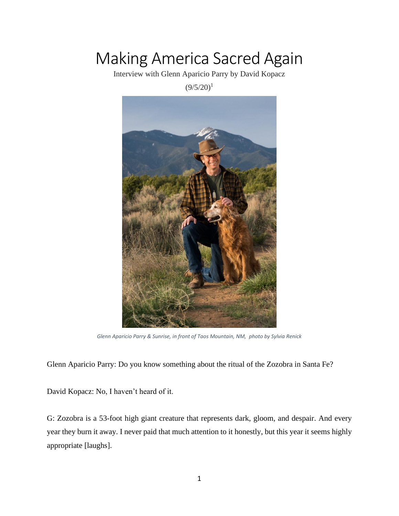## Making America Sacred Again

Interview with Glenn Aparicio Parry by David Kopacz

 $(9/5/20)^1$ 



*Glenn Aparicio Parry & Sunrise, in front of Taos Mountain, NM, photo by Sylvia Renick*

Glenn Aparicio Parry: Do you know something about the ritual of the Zozobra in Santa Fe?

David Kopacz: No, I haven't heard of it.

G: Zozobra is a 53-foot high giant creature that represents dark, gloom, and despair. And every year they burn it away. I never paid that much attention to it honestly, but this year it seems highly appropriate [laughs].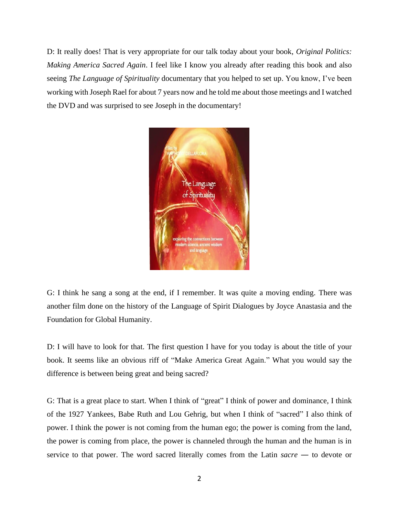D: It really does! That is very appropriate for our talk today about your book, *Original Politics: Making America Sacred Again*. I feel like I know you already after reading this book and also seeing *The Language of Spirituality* documentary that you helped to set up. You know, I've been working with Joseph Rael for about 7 years now and he told me about those meetings and I watched the DVD and was surprised to see Joseph in the documentary!



G: I think he sang a song at the end, if I remember. It was quite a moving ending. There was another film done on the history of the Language of Spirit Dialogues by Joyce Anastasia and the Foundation for Global Humanity.

D: I will have to look for that. The first question I have for you today is about the title of your book. It seems like an obvious riff of "Make America Great Again." What you would say the difference is between being great and being sacred?

G: That is a great place to start. When I think of "great" I think of power and dominance, I think of the 1927 Yankees, Babe Ruth and Lou Gehrig, but when I think of "sacred" I also think of power. I think the power is not coming from the human ego; the power is coming from the land, the power is coming from place, the power is channeled through the human and the human is in service to that power. The word sacred literally comes from the Latin *sacre* ― to devote or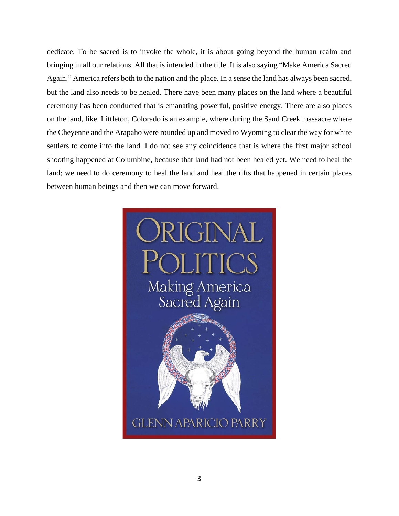dedicate. To be sacred is to invoke the whole, it is about going beyond the human realm and bringing in all our relations. All that is intended in the title. It is also saying "Make America Sacred Again." America refers both to the nation and the place. In a sense the land has always been sacred, but the land also needs to be healed. There have been many places on the land where a beautiful ceremony has been conducted that is emanating powerful, positive energy. There are also places on the land, like. Littleton, Colorado is an example, where during the Sand Creek massacre where the Cheyenne and the Arapaho were rounded up and moved to Wyoming to clear the way for white settlers to come into the land. I do not see any coincidence that is where the first major school shooting happened at Columbine, because that land had not been healed yet. We need to heal the land; we need to do ceremony to heal the land and heal the rifts that happened in certain places between human beings and then we can move forward.

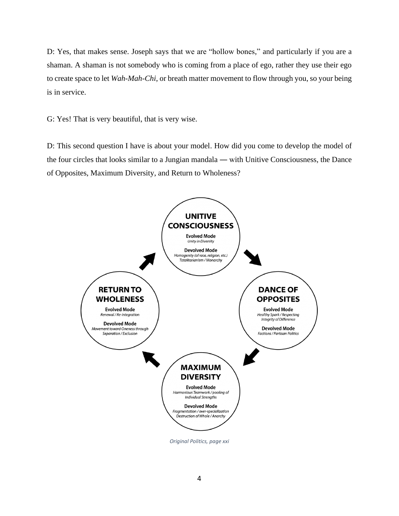D: Yes, that makes sense. Joseph says that we are "hollow bones," and particularly if you are a shaman. A shaman is not somebody who is coming from a place of ego, rather they use their ego to create space to let *Wah-Mah-Chi*, or breath matter movement to flow through you, so your being is in service.

G: Yes! That is very beautiful, that is very wise.

D: This second question I have is about your model. How did you come to develop the model of the four circles that looks similar to a Jungian mandala ― with Unitive Consciousness, the Dance of Opposites, Maximum Diversity, and Return to Wholeness?

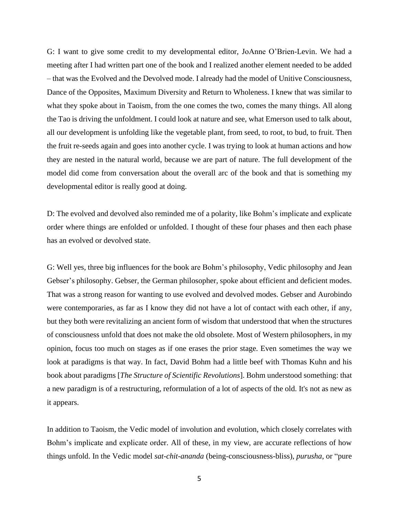G: I want to give some credit to my developmental editor, JoAnne O'Brien-Levin. We had a meeting after I had written part one of the book and I realized another element needed to be added – that was the Evolved and the Devolved mode. I already had the model of Unitive Consciousness, Dance of the Opposites, Maximum Diversity and Return to Wholeness. I knew that was similar to what they spoke about in Taoism, from the one comes the two, comes the many things. All along the Tao is driving the unfoldment. I could look at nature and see, what Emerson used to talk about, all our development is unfolding like the vegetable plant, from seed, to root, to bud, to fruit. Then the fruit re-seeds again and goes into another cycle. I was trying to look at human actions and how they are nested in the natural world, because we are part of nature. The full development of the model did come from conversation about the overall arc of the book and that is something my developmental editor is really good at doing.

D: The evolved and devolved also reminded me of a polarity, like Bohm's implicate and explicate order where things are enfolded or unfolded. I thought of these four phases and then each phase has an evolved or devolved state.

G: Well yes, three big influences for the book are Bohm's philosophy, Vedic philosophy and Jean Gebser's philosophy. Gebser, the German philosopher, spoke about efficient and deficient modes. That was a strong reason for wanting to use evolved and devolved modes. Gebser and Aurobindo were contemporaries, as far as I know they did not have a lot of contact with each other, if any, but they both were revitalizing an ancient form of wisdom that understood that when the structures of consciousness unfold that does not make the old obsolete. Most of Western philosophers, in my opinion, focus too much on stages as if one erases the prior stage. Even sometimes the way we look at paradigms is that way. In fact, David Bohm had a little beef with Thomas Kuhn and his book about paradigms [*The Structure of Scientific Revolutions*]. Bohm understood something: that a new paradigm is of a restructuring, reformulation of a lot of aspects of the old. It's not as new as it appears.

In addition to Taoism, the Vedic model of involution and evolution, which closely correlates with Bohm's implicate and explicate order. All of these, in my view, are accurate reflections of how things unfold. In the Vedic model *sat-chit-ananda* (being-consciousness-bliss), *purusha*, or "pure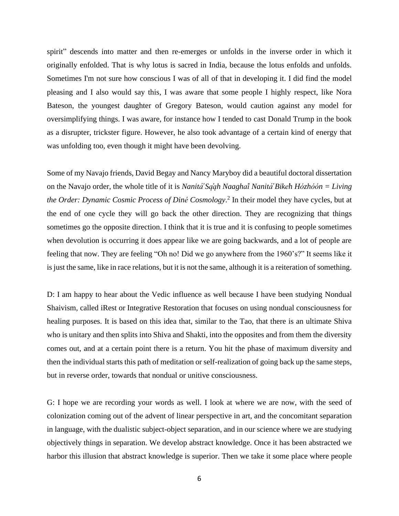spirit" descends into matter and then re-emerges or unfolds in the inverse order in which it originally enfolded. That is why lotus is sacred in India, because the lotus enfolds and unfolds. Sometimes I'm not sure how conscious I was of all of that in developing it. I did find the model pleasing and I also would say this, I was aware that some people I highly respect, like Nora Bateson, the youngest daughter of Gregory Bateson, would caution against any model for oversimplifying things. I was aware, for instance how I tended to cast Donald Trump in the book as a disrupter, trickster figure. However, he also took advantage of a certain kind of energy that was unfolding too, even though it might have been devolving.

Some of my Navajo friends, David Begay and Nancy Maryboy did a beautiful doctoral dissertation on the Navajo order, the whole title of it is *Nanita ́̕ Sa ąh Naagha í Nanita ́̕ Bike h Hózhóón = Living the Order: Dynamic Cosmic Process of Diné Cosmology*. 2 In their model they have cycles, but at the end of one cycle they will go back the other direction. They are recognizing that things sometimes go the opposite direction. I think that it is true and it is confusing to people sometimes when devolution is occurring it does appear like we are going backwards, and a lot of people are feeling that now. They are feeling "Oh no! Did we go anywhere from the 1960's?" It seems like it is just the same, like in race relations, but it is not the same, although it is a reiteration of something.

D: I am happy to hear about the Vedic influence as well because I have been studying Nondual Shaivism, called iRest or Integrative Restoration that focuses on using nondual consciousness for healing purposes. It is based on this idea that, similar to the Tao, that there is an ultimate Shiva who is unitary and then splits into Shiva and Shakti, into the opposites and from them the diversity comes out, and at a certain point there is a return. You hit the phase of maximum diversity and then the individual starts this path of meditation or self-realization of going back up the same steps, but in reverse order, towards that nondual or unitive consciousness.

G: I hope we are recording your words as well. I look at where we are now, with the seed of colonization coming out of the advent of linear perspective in art, and the concomitant separation in language, with the dualistic subject-object separation, and in our science where we are studying objectively things in separation. We develop abstract knowledge. Once it has been abstracted we harbor this illusion that abstract knowledge is superior. Then we take it some place where people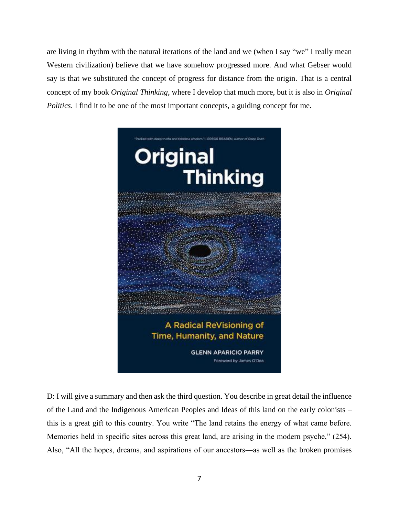are living in rhythm with the natural iterations of the land and we (when I say "we" I really mean Western civilization) believe that we have somehow progressed more. And what Gebser would say is that we substituted the concept of progress for distance from the origin. That is a central concept of my book *Original Thinking*, where I develop that much more, but it is also in *Original Politics*. I find it to be one of the most important concepts, a guiding concept for me.



D: I will give a summary and then ask the third question. You describe in great detail the influence of the Land and the Indigenous American Peoples and Ideas of this land on the early colonists – this is a great gift to this country. You write "The land retains the energy of what came before. Memories held in specific sites across this great land, are arising in the modern psyche," (254). Also, "All the hopes, dreams, and aspirations of our ancestors―as well as the broken promises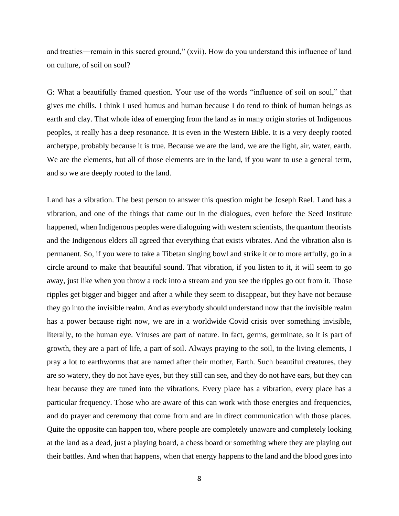and treaties—remain in this sacred ground," (xvii). How do you understand this influence of land on culture, of soil on soul?

G: What a beautifully framed question. Your use of the words "influence of soil on soul," that gives me chills. I think I used humus and human because I do tend to think of human beings as earth and clay. That whole idea of emerging from the land as in many origin stories of Indigenous peoples, it really has a deep resonance. It is even in the Western Bible. It is a very deeply rooted archetype, probably because it is true. Because we are the land, we are the light, air, water, earth. We are the elements, but all of those elements are in the land, if you want to use a general term, and so we are deeply rooted to the land.

Land has a vibration. The best person to answer this question might be Joseph Rael. Land has a vibration, and one of the things that came out in the dialogues, even before the Seed Institute happened, when Indigenous peoples were dialoguing with western scientists, the quantum theorists and the Indigenous elders all agreed that everything that exists vibrates. And the vibration also is permanent. So, if you were to take a Tibetan singing bowl and strike it or to more artfully, go in a circle around to make that beautiful sound. That vibration, if you listen to it, it will seem to go away, just like when you throw a rock into a stream and you see the ripples go out from it. Those ripples get bigger and bigger and after a while they seem to disappear, but they have not because they go into the invisible realm. And as everybody should understand now that the invisible realm has a power because right now, we are in a worldwide Covid crisis over something invisible, literally, to the human eye. Viruses are part of nature. In fact, germs, germinate, so it is part of growth, they are a part of life, a part of soil. Always praying to the soil, to the living elements, I pray a lot to earthworms that are named after their mother, Earth. Such beautiful creatures, they are so watery, they do not have eyes, but they still can see, and they do not have ears, but they can hear because they are tuned into the vibrations. Every place has a vibration, every place has a particular frequency. Those who are aware of this can work with those energies and frequencies, and do prayer and ceremony that come from and are in direct communication with those places. Quite the opposite can happen too, where people are completely unaware and completely looking at the land as a dead, just a playing board, a chess board or something where they are playing out their battles. And when that happens, when that energy happens to the land and the blood goes into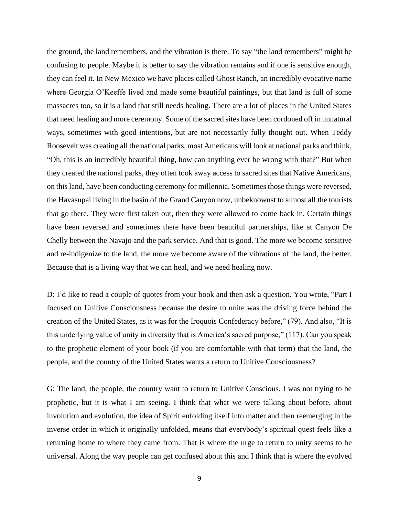the ground, the land remembers, and the vibration is there. To say "the land remembers" might be confusing to people. Maybe it is better to say the vibration remains and if one is sensitive enough, they can feel it. In New Mexico we have places called Ghost Ranch, an incredibly evocative name where Georgia O'Keeffe lived and made some beautiful paintings, but that land is full of some massacres too, so it is a land that still needs healing. There are a lot of places in the United States that need healing and more ceremony. Some of the sacred sites have been cordoned off in unnatural ways, sometimes with good intentions, but are not necessarily fully thought out. When Teddy Roosevelt was creating all the national parks, most Americans will look at national parks and think, "Oh, this is an incredibly beautiful thing, how can anything ever be wrong with that?" But when they created the national parks, they often took away access to sacred sites that Native Americans, on this land, have been conducting ceremony for millennia. Sometimes those things were reversed, the Havasupai living in the basin of the Grand Canyon now, unbeknownst to almost all the tourists that go there. They were first taken out, then they were allowed to come back in. Certain things have been reversed and sometimes there have been beautiful partnerships, like at Canyon De Chelly between the Navajo and the park service. And that is good. The more we become sensitive and re-indigenize to the land, the more we become aware of the vibrations of the land, the better. Because that is a living way that we can heal, and we need healing now.

D: I'd like to read a couple of quotes from your book and then ask a question. You wrote, "Part I focused on Unitive Consciousness because the desire to unite was the driving force behind the creation of the United States, as it was for the Iroquois Confederacy before," (79). And also, "It is this underlying value of unity in diversity that is America's sacred purpose," (117). Can you speak to the prophetic element of your book (if you are comfortable with that term) that the land, the people, and the country of the United States wants a return to Unitive Consciousness?

G: The land, the people, the country want to return to Unitive Conscious. I was not trying to be prophetic, but it is what I am seeing. I think that what we were talking about before, about involution and evolution, the idea of Spirit enfolding itself into matter and then reemerging in the inverse order in which it originally unfolded, means that everybody's spiritual quest feels like a returning home to where they came from. That is where the urge to return to unity seems to be universal. Along the way people can get confused about this and I think that is where the evolved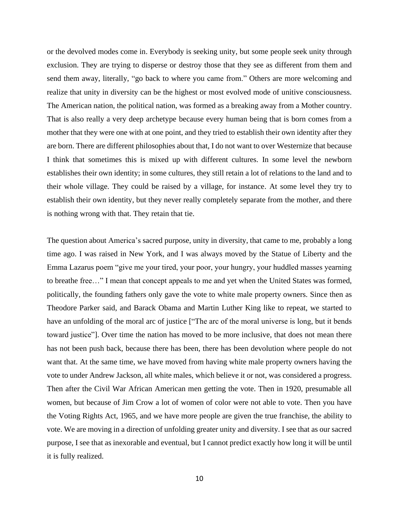or the devolved modes come in. Everybody is seeking unity, but some people seek unity through exclusion. They are trying to disperse or destroy those that they see as different from them and send them away, literally, "go back to where you came from." Others are more welcoming and realize that unity in diversity can be the highest or most evolved mode of unitive consciousness. The American nation, the political nation, was formed as a breaking away from a Mother country. That is also really a very deep archetype because every human being that is born comes from a mother that they were one with at one point, and they tried to establish their own identity after they are born. There are different philosophies about that, I do not want to over Westernize that because I think that sometimes this is mixed up with different cultures. In some level the newborn establishes their own identity; in some cultures, they still retain a lot of relations to the land and to their whole village. They could be raised by a village, for instance. At some level they try to establish their own identity, but they never really completely separate from the mother, and there is nothing wrong with that. They retain that tie.

The question about America's sacred purpose, unity in diversity, that came to me, probably a long time ago. I was raised in New York, and I was always moved by the Statue of Liberty and the Emma Lazarus poem "give me your tired, your poor, your hungry, your huddled masses yearning to breathe free…" I mean that concept appeals to me and yet when the United States was formed, politically, the founding fathers only gave the vote to white male property owners. Since then as Theodore Parker said, and Barack Obama and Martin Luther King like to repeat, we started to have an unfolding of the moral arc of justice ["The arc of the moral universe is long, but it bends toward justice"]. Over time the nation has moved to be more inclusive, that does not mean there has not been push back, because there has been, there has been devolution where people do not want that. At the same time, we have moved from having white male property owners having the vote to under Andrew Jackson, all white males, which believe it or not, was considered a progress. Then after the Civil War African American men getting the vote. Then in 1920, presumable all women, but because of Jim Crow a lot of women of color were not able to vote. Then you have the Voting Rights Act, 1965, and we have more people are given the true franchise, the ability to vote. We are moving in a direction of unfolding greater unity and diversity. I see that as our sacred purpose, I see that as inexorable and eventual, but I cannot predict exactly how long it will be until it is fully realized.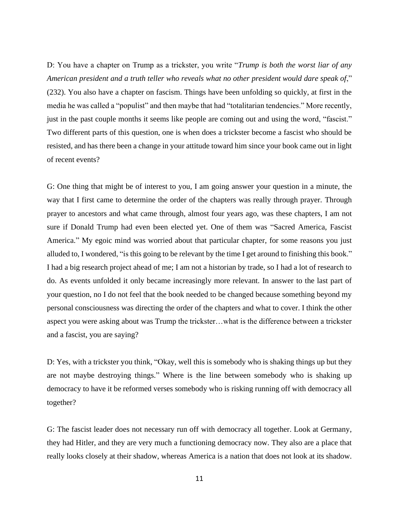D: You have a chapter on Trump as a trickster, you write "*Trump is both the worst liar of any American president and a truth teller who reveals what no other president would dare speak of*," (232). You also have a chapter on fascism. Things have been unfolding so quickly, at first in the media he was called a "populist" and then maybe that had "totalitarian tendencies." More recently, just in the past couple months it seems like people are coming out and using the word, "fascist." Two different parts of this question, one is when does a trickster become a fascist who should be resisted, and has there been a change in your attitude toward him since your book came out in light of recent events?

G: One thing that might be of interest to you, I am going answer your question in a minute, the way that I first came to determine the order of the chapters was really through prayer. Through prayer to ancestors and what came through, almost four years ago, was these chapters, I am not sure if Donald Trump had even been elected yet. One of them was "Sacred America, Fascist America." My egoic mind was worried about that particular chapter, for some reasons you just alluded to, I wondered, "is this going to be relevant by the time I get around to finishing this book." I had a big research project ahead of me; I am not a historian by trade, so I had a lot of research to do. As events unfolded it only became increasingly more relevant. In answer to the last part of your question, no I do not feel that the book needed to be changed because something beyond my personal consciousness was directing the order of the chapters and what to cover. I think the other aspect you were asking about was Trump the trickster…what is the difference between a trickster and a fascist, you are saying?

D: Yes, with a trickster you think, "Okay, well this is somebody who is shaking things up but they are not maybe destroying things." Where is the line between somebody who is shaking up democracy to have it be reformed verses somebody who is risking running off with democracy all together?

G: The fascist leader does not necessary run off with democracy all together. Look at Germany, they had Hitler, and they are very much a functioning democracy now. They also are a place that really looks closely at their shadow, whereas America is a nation that does not look at its shadow.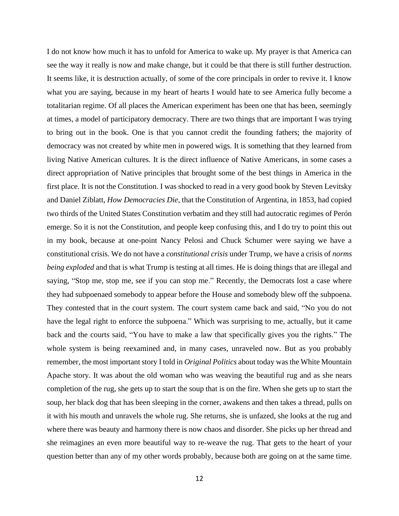I do not know how much it has to unfold for America to wake up. My prayer is that America can see the way it really is now and make change, but it could be that there is still further destruction. It seems like, it is destruction actually, of some of the core principals in order to revive it. I know what you are saying, because in my heart of hearts I would hate to see America fully become a totalitarian regime. Of all places the American experiment has been one that has been, seemingly at times, a model of participatory democracy. There are two things that are important I was trying to bring out in the book. One is that you cannot credit the founding fathers; the majority of democracy was not created by white men in powered wigs. It is something that they learned from living Native American cultures. It is the direct influence of Native Americans, in some cases a direct appropriation of Native principles that brought some of the best things in America in the first place. It is not the Constitution. I was shocked to read in a very good book by Steven Levitsky and Daniel Ziblatt, *How Democracies Die*, that the Constitution of Argentina, in 1853, had copied two thirds of the United States Constitution verbatim and they still had autocratic regimes of Perón emerge. So it is not the Constitution, and people keep confusing this, and I do try to point this out in my book, because at one-point Nancy Pelosi and Chuck Schumer were saying we have a constitutional crisis. We do not have a *constitutional crisis* under Trump, we have a crisis of *norms being exploded* and that is what Trump is testing at all times. He is doing things that are illegal and saying, "Stop me, stop me, see if you can stop me." Recently, the Democrats lost a case where they had subpoenaed somebody to appear before the House and somebody blew off the subpoena. They contested that in the court system. The court system came back and said, "No you do not have the legal right to enforce the subpoena." Which was surprising to me, actually, but it came back and the courts said, "You have to make a law that specifically gives you the rights." The whole system is being reexamined and, in many cases, unraveled now. But as you probably remember, the most important story I told in *Original Politics* about today was the White Mountain Apache story. It was about the old woman who was weaving the beautiful rug and as she nears completion of the rug, she gets up to start the soup that is on the fire. When she gets up to start the soup, her black dog that has been sleeping in the corner, awakens and then takes a thread, pulls on it with his mouth and unravels the whole rug. She returns, she is unfazed, she looks at the rug and where there was beauty and harmony there is now chaos and disorder. She picks up her thread and she reimagines an even more beautiful way to re-weave the rug. That gets to the heart of your question better than any of my other words probably, because both are going on at the same time.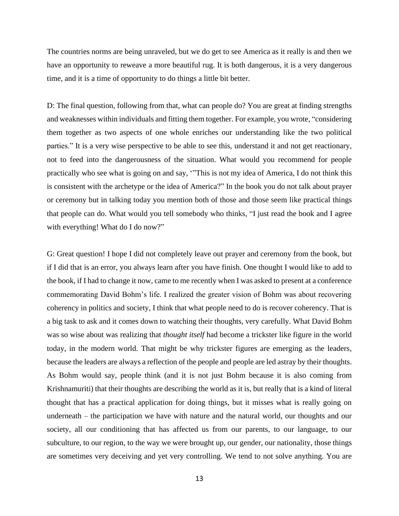The countries norms are being unraveled, but we do get to see America as it really is and then we have an opportunity to reweave a more beautiful rug. It is both dangerous, it is a very dangerous time, and it is a time of opportunity to do things a little bit better.

D: The final question, following from that, what can people do? You are great at finding strengths and weaknesses within individuals and fitting them together. For example, you wrote, "considering them together as two aspects of one whole enriches our understanding like the two political parties." It is a very wise perspective to be able to see this, understand it and not get reactionary, not to feed into the dangerousness of the situation. What would you recommend for people practically who see what is going on and say, '"This is not my idea of America, I do not think this is consistent with the archetype or the idea of America?" In the book you do not talk about prayer or ceremony but in talking today you mention both of those and those seem like practical things that people can do. What would you tell somebody who thinks, "I just read the book and I agree with everything! What do I do now?"

G: Great question! I hope I did not completely leave out prayer and ceremony from the book, but if I did that is an error, you always learn after you have finish. One thought I would like to add to the book, if I had to change it now, came to me recently when I was asked to present at a conference commemorating David Bohm's life. I realized the greater vision of Bohm was about recovering coherency in politics and society, I think that what people need to do is recover coherency. That is a big task to ask and it comes down to watching their thoughts, very carefully. What David Bohm was so wise about was realizing that *thought itself* had become a trickster like figure in the world today, in the modern world. That might be why trickster figures are emerging as the leaders, because the leaders are always a reflection of the people and people are led astray by their thoughts. As Bohm would say, people think (and it is not just Bohm because it is also coming from Krishnamuriti) that their thoughts are describing the world as it is, but really that is a kind of literal thought that has a practical application for doing things, but it misses what is really going on underneath – the participation we have with nature and the natural world, our thoughts and our society, all our conditioning that has affected us from our parents, to our language, to our subculture, to our region, to the way we were brought up, our gender, our nationality, those things are sometimes very deceiving and yet very controlling. We tend to not solve anything. You are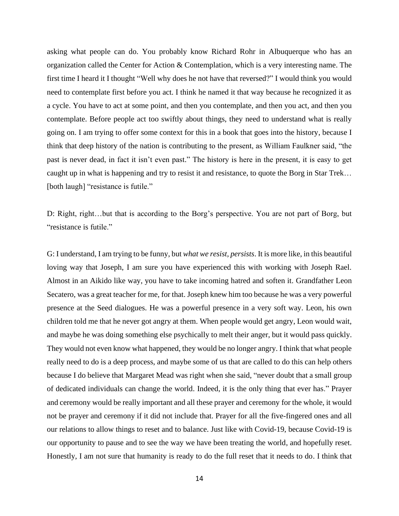asking what people can do. You probably know Richard Rohr in Albuquerque who has an organization called the Center for Action & Contemplation, which is a very interesting name. The first time I heard it I thought "Well why does he not have that reversed?" I would think you would need to contemplate first before you act. I think he named it that way because he recognized it as a cycle. You have to act at some point, and then you contemplate, and then you act, and then you contemplate. Before people act too swiftly about things, they need to understand what is really going on. I am trying to offer some context for this in a book that goes into the history, because I think that deep history of the nation is contributing to the present, as William Faulkner said, "the past is never dead, in fact it isn't even past." The history is here in the present, it is easy to get caught up in what is happening and try to resist it and resistance, to quote the Borg in Star Trek… [both laugh] "resistance is futile."

D: Right, right…but that is according to the Borg's perspective. You are not part of Borg, but "resistance is futile."

G: I understand, I am trying to be funny, but *what we resist, persists*. It is more like, in this beautiful loving way that Joseph, I am sure you have experienced this with working with Joseph Rael. Almost in an Aikido like way, you have to take incoming hatred and soften it. Grandfather Leon Secatero, was a great teacher for me, for that. Joseph knew him too because he was a very powerful presence at the Seed dialogues. He was a powerful presence in a very soft way. Leon, his own children told me that he never got angry at them. When people would get angry, Leon would wait, and maybe he was doing something else psychically to melt their anger, but it would pass quickly. They would not even know what happened, they would be no longer angry. I think that what people really need to do is a deep process, and maybe some of us that are called to do this can help others because I do believe that Margaret Mead was right when she said, "never doubt that a small group of dedicated individuals can change the world. Indeed, it is the only thing that ever has." Prayer and ceremony would be really important and all these prayer and ceremony for the whole, it would not be prayer and ceremony if it did not include that. Prayer for all the five-fingered ones and all our relations to allow things to reset and to balance. Just like with Covid-19, because Covid-19 is our opportunity to pause and to see the way we have been treating the world, and hopefully reset. Honestly, I am not sure that humanity is ready to do the full reset that it needs to do. I think that